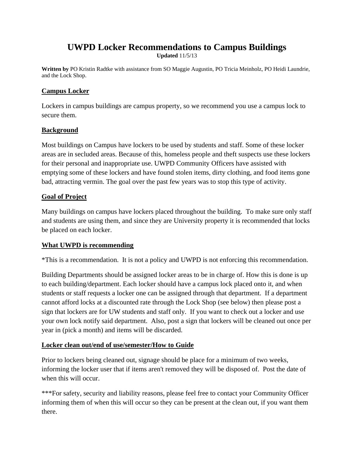# **UWPD Locker Recommendations to Campus Buildings**

**Updated** 11/5/13

**Written by** PO Kristin Radtke with assistance from SO Maggie Augustin, PO Tricia Meinholz, PO Heidi Laundrie, and the Lock Shop.

### **Campus Locker**

Lockers in campus buildings are campus property, so we recommend you use a campus lock to secure them.

### **Background**

Most buildings on Campus have lockers to be used by students and staff. Some of these locker areas are in secluded areas. Because of this, homeless people and theft suspects use these lockers for their personal and inappropriate use. UWPD Community Officers have assisted with emptying some of these lockers and have found stolen items, dirty clothing, and food items gone bad, attracting vermin. The goal over the past few years was to stop this type of activity.

#### **Goal of Project**

Many buildings on campus have lockers placed throughout the building. To make sure only staff and students are using them, and since they are University property it is recommended that locks be placed on each locker.

### **What UWPD is recommending**

\*This is a recommendation. It is not a policy and UWPD is not enforcing this recommendation.

Building Departments should be assigned locker areas to be in charge of. How this is done is up to each building/department. Each locker should have a campus lock placed onto it, and when students or staff requests a locker one can be assigned through that department. If a department cannot afford locks at a discounted rate through the Lock Shop (see below) then please post a sign that lockers are for UW students and staff only. If you want to check out a locker and use your own lock notify said department. Also, post a sign that lockers will be cleaned out once per year in (pick a month) and items will be discarded.

### **Locker clean out/end of use/semester/How to Guide**

Prior to lockers being cleaned out, signage should be place for a minimum of two weeks, informing the locker user that if items aren't removed they will be disposed of. Post the date of when this will occur.

\*\*\*For safety, security and liability reasons, please feel free to contact your Community Officer informing them of when this will occur so they can be present at the clean out, if you want them there.